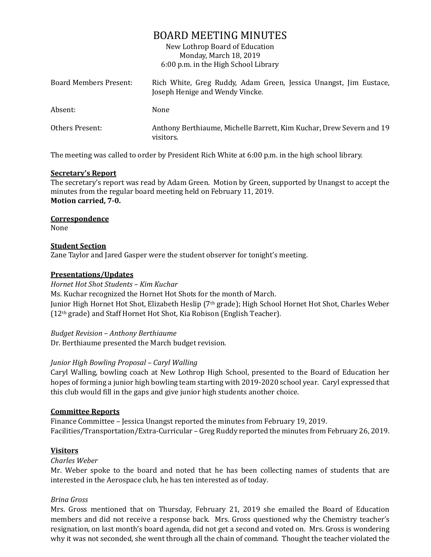# BOARD MEETING MINUTES

New Lothrop Board of Education Monday, March 18, 2019 6:00 p.m. in the High School Library

| Board Members Present: | Rich White, Greg Ruddy, Adam Green, Jessica Unangst, Jim Eustace,<br>Joseph Henige and Wendy Vincke. |
|------------------------|------------------------------------------------------------------------------------------------------|
| Absent:                | None                                                                                                 |
| Others Present:        | Anthony Berthiaume, Michelle Barrett, Kim Kuchar, Drew Severn and 19<br>visitors.                    |

The meeting was called to order by President Rich White at 6:00 p.m. in the high school library.

## **Secretary's Report**

The secretary's report was read by Adam Green. Motion by Green, supported by Unangst to accept the minutes from the regular board meeting held on February 11, 2019. **Motion carried, 7-0.**

## **Correspondence**

None

## **Student Section**

Zane Taylor and Jared Gasper were the student observer for tonight's meeting.

## **Presentations/Updates**

## *Hornet Hot Shot Students – Kim Kuchar*

Ms. Kuchar recognized the Hornet Hot Shots for the month of March. Junior High Hornet Hot Shot, Elizabeth Heslip (7th grade); High School Hornet Hot Shot, Charles Weber (12th grade) and Staff Hornet Hot Shot, Kia Robison (English Teacher).

*Budget Revision – Anthony Berthiaume* Dr. Berthiaume presented the March budget revision.

# *Junior High Bowling Proposal – Caryl Walling*

Caryl Walling, bowling coach at New Lothrop High School, presented to the Board of Education her hopes of forming a junior high bowling team starting with 2019-2020 school year. Caryl expressed that this club would fill in the gaps and give junior high students another choice.

#### **Committee Reports**

Finance Committee – Jessica Unangst reported the minutes from February 19, 2019. Facilities/Transportation/Extra-Curricular – Greg Ruddy reported the minutes from February 26, 2019.

# **Visitors**

#### *Charles Weber*

Mr. Weber spoke to the board and noted that he has been collecting names of students that are interested in the Aerospace club, he has ten interested as of today.

# *Brina Gross*

Mrs. Gross mentioned that on Thursday, February 21, 2019 she emailed the Board of Education members and did not receive a response back. Mrs. Gross questioned why the Chemistry teacher's resignation, on last month's board agenda, did not get a second and voted on. Mrs. Gross is wondering why it was not seconded, she went through all the chain of command. Thought the teacher violated the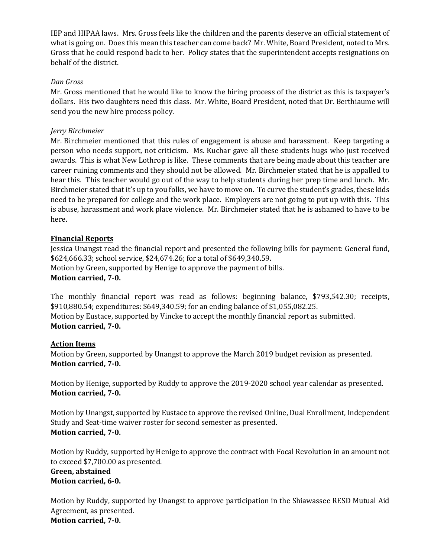IEP and HIPAA laws. Mrs. Gross feels like the children and the parents deserve an official statement of what is going on. Does this mean this teacher can come back? Mr. White, Board President, noted to Mrs. Gross that he could respond back to her. Policy states that the superintendent accepts resignations on behalf of the district.

## *Dan Gross*

Mr. Gross mentioned that he would like to know the hiring process of the district as this is taxpayer's dollars. His two daughters need this class. Mr. White, Board President, noted that Dr. Berthiaume will send you the new hire process policy.

## *Jerry Birchmeier*

Mr. Birchmeier mentioned that this rules of engagement is abuse and harassment. Keep targeting a person who needs support, not criticism. Ms. Kuchar gave all these students hugs who just received awards. This is what New Lothrop is like. These comments that are being made about this teacher are career ruining comments and they should not be allowed. Mr. Birchmeier stated that he is appalled to hear this. This teacher would go out of the way to help students during her prep time and lunch. Mr. Birchmeier stated that it's up to you folks, we have to move on. To curve the student's grades, these kids need to be prepared for college and the work place. Employers are not going to put up with this. This is abuse, harassment and work place violence. Mr. Birchmeier stated that he is ashamed to have to be here.

# **Financial Reports**

Jessica Unangst read the financial report and presented the following bills for payment: General fund, \$624,666.33; school service, \$24,674.26; for a total of \$649,340.59. Motion by Green, supported by Henige to approve the payment of bills. **Motion carried, 7-0.**

The monthly financial report was read as follows: beginning balance, \$793,542.30; receipts, \$910,880.54; expenditures: \$649,340.59; for an ending balance of \$1,055,082.25. Motion by Eustace, supported by Vincke to accept the monthly financial report as submitted. **Motion carried, 7-0.**

# **Action Items**

Motion by Green, supported by Unangst to approve the March 2019 budget revision as presented. **Motion carried, 7-0.** 

Motion by Henige, supported by Ruddy to approve the 2019-2020 school year calendar as presented. **Motion carried, 7-0.**

Motion by Unangst, supported by Eustace to approve the revised Online, Dual Enrollment, Independent Study and Seat-time waiver roster for second semester as presented. **Motion carried, 7-0.**

Motion by Ruddy, supported by Henige to approve the contract with Focal Revolution in an amount not to exceed \$7,700.00 as presented. **Green, abstained Motion carried, 6-0.**

Motion by Ruddy, supported by Unangst to approve participation in the Shiawassee RESD Mutual Aid Agreement, as presented. **Motion carried, 7-0.**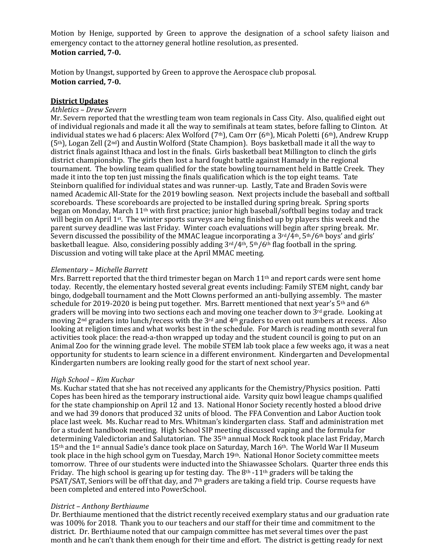Motion by Henige, supported by Green to approve the designation of a school safety liaison and emergency contact to the attorney general hotline resolution, as presented. **Motion carried, 7-0.**

Motion by Unangst, supported by Green to approve the Aerospace club proposal. **Motion carried, 7-0.**

### **District Updates**

#### *Athletics – Drew Severn*

Mr. Severn reported that the wrestling team won team regionals in Cass City. Also, qualified eight out of individual regionals and made it all the way to semifinals at team states, before falling to Clinton. At individual states we had 6 placers: Alex Wolford (7<sup>th</sup>), Cam Orr (6<sup>th</sup>), Micah Poletti (6<sup>th</sup>), Andrew Krupp  $(5<sup>th</sup>)$ , Logan Zell  $(2<sup>nd</sup>)$  and Austin Wolford (State Champion). Boys basketball made it all the way to district finals against Ithaca and lost in the finals. Girls basketball beat Millington to clinch the girls district championship. The girls then lost a hard fought battle against Hamady in the regional tournament. The bowling team qualified for the state bowling tournament held in Battle Creek. They made it into the top ten just missing the finals qualification which is the top eight teams. Tate Steinborn qualified for individual states and was runner-up. Lastly, Tate and Braden Sovis were named Academic All-State for the 2019 bowling season. Next projects include the baseball and softball scoreboards. These scoreboards are projected to be installed during spring break. Spring sports began on Monday, March 11th with first practice; junior high baseball/softball begins today and track will begin on April 1st. The winter sports surveys are being finished up by players this week and the parent survey deadline was last Friday. Winter coach evaluations will begin after spring break. Mr. Severn discussed the possibility of the MMAC league incorporating a  $3rd/4th$ ,  $5th/6th$  boys' and girls' basketball league. Also, considering possibly adding 3rd/4th, 5th/6th flag football in the spring. Discussion and voting will take place at the April MMAC meeting.

#### *Elementary – Michelle Barrett*

Mrs. Barrett reported that the third trimester began on March  $11<sup>th</sup>$  and report cards were sent home today. Recently, the elementary hosted several great events including: Family STEM night, candy bar bingo, dodgeball tournament and the Mott Clowns performed an anti-bullying assembly. The master schedule for 2019-2020 is being put together. Mrs. Barrett mentioned that next year's 5<sup>th</sup> and 6<sup>th</sup> graders will be moving into two sections each and moving one teacher down to  $3<sup>rd</sup>$  grade. Looking at moving 2nd graders into lunch/recess with the 3rd and 4th graders to even out numbers at recess. Also looking at religion times and what works best in the schedule. For March is reading month several fun activities took place: the read-a-thon wrapped up today and the student council is going to put on an Animal Zoo for the winning grade level. The mobile STEM lab took place a few weeks ago, it was a neat opportunity for students to learn science in a different environment. Kindergarten and Developmental Kindergarten numbers are looking really good for the start of next school year.

#### *High School – Kim Kuchar*

Ms. Kuchar stated that she has not received any applicants for the Chemistry/Physics position. Patti Copes has been hired as the temporary instructional aide. Varsity quiz bowl league champs qualified for the state championship on April 12 and 13. National Honor Society recently hosted a blood drive and we had 39 donors that produced 32 units of blood. The FFA Convention and Labor Auction took place last week. Ms. Kuchar read to Mrs. Whitman's kindergarten class. Staff and administration met for a student handbook meeting. High School SIP meeting discussed vaping and the formula for determining Valedictorian and Salutatorian. The 35th annual Mock Rock took place last Friday, March 15th and the 1st annual Sadie's dance took place on Saturday, March 16th. The World War II Museum took place in the high school gym on Tuesday, March 19th. National Honor Society committee meets tomorrow. Three of our students were inducted into the Shiawassee Scholars. Quarter three ends this Friday. The high school is gearing up for testing day. The 8<sup>th</sup> -11<sup>th</sup> graders will be taking the PSAT/SAT, Seniors will be off that day, and 7<sup>th</sup> graders are taking a field trip. Course requests have been completed and entered into PowerSchool.

# *District – Anthony Berthiaume*

Dr. Berthiaume mentioned that the district recently received exemplary status and our graduation rate was 100% for 2018. Thank you to our teachers and our staff for their time and commitment to the district. Dr. Berthiaume noted that our campaign committee has met several times over the past month and he can't thank them enough for their time and effort. The district is getting ready for next